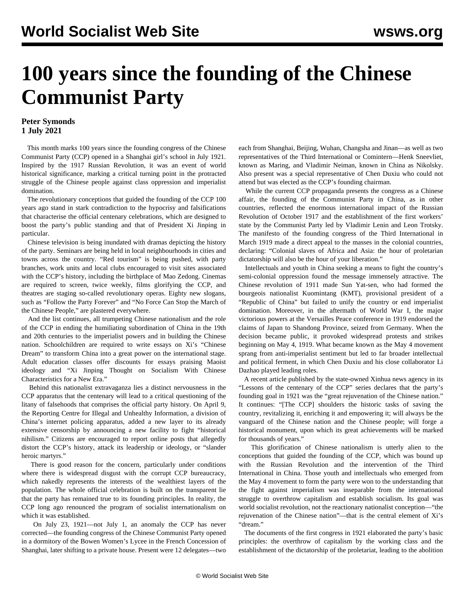# **100 years since the founding of the Chinese Communist Party**

# **Peter Symonds 1 July 2021**

 This month marks 100 years since the founding congress of the Chinese Communist Party (CCP) opened in a Shanghai girl's school in July 1921. Inspired by the 1917 Russian Revolution, it was an event of world historical significance, marking a critical turning point in the protracted struggle of the Chinese people against class oppression and imperialist domination.

 The revolutionary conceptions that guided the founding of the CCP 100 years ago stand in stark contradiction to the hypocrisy and falsifications that characterise the official centenary celebrations, which are designed to boost the party's public standing and that of President Xi Jinping in particular.

 Chinese television is being inundated with dramas depicting the history of the party. Seminars are being held in local neighbourhoods in cities and towns across the country. "Red tourism" is being pushed, with party branches, work units and local clubs encouraged to visit sites associated with the CCP's history, including the birthplace of Mao Zedong. Cinemas are required to screen, twice weekly, films glorifying the CCP, and theatres are staging so-called revolutionary operas. Eighty new slogans, such as "Follow the Party Forever" and "No Force Can Stop the March of the Chinese People," are plastered everywhere.

 And the list continues, all trumpeting Chinese nationalism and the role of the CCP in ending the humiliating subordination of China in the 19th and 20th centuries to the imperialist powers and in building the Chinese nation. Schoolchildren are required to write essays on Xi's "Chinese Dream" to transform China into a great power on the international stage. Adult education classes offer discounts for essays praising Maoist ideology and "Xi Jinping Thought on Socialism With Chinese Characteristics for a New Era."

 Behind this nationalist extravaganza lies a distinct nervousness in the CCP apparatus that the centenary will lead to a critical questioning of the litany of falsehoods that comprises the official party history. On April 9, the Reporting Centre for Illegal and Unhealthy Information, a division of China's internet policing apparatus, added a new layer to its already extensive censorship by announcing a new facility to fight "historical nihilism." Citizens are encouraged to report online posts that allegedly distort the CCP's history, attack its leadership or ideology, or "slander heroic martyrs."

 There is good reason for the concern, particularly under conditions where there is widespread disgust with the corrupt CCP bureaucracy, which nakedly represents the interests of the wealthiest layers of the population. The whole official celebration is built on the transparent lie that the party has remained true to its founding principles. In reality, the CCP long ago renounced the program of socialist internationalism on which it was established.

 On July 23, 1921—not July 1, an anomaly the CCP has never corrected—the founding congress of the Chinese Communist Party opened in a dormitory of the Bowen Women's Lycee in the French Concession of Shanghai, later shifting to a private house. Present were 12 delegates—two each from Shanghai, Beijing, Wuhan, Changsha and Jinan—as well as two representatives of the Third International or Comintern—Henk Sneevliet, known as Maring, and Vladimir Neiman, known in China as Nikolsky. Also present was a special representative of Chen Duxiu who could not attend but was elected as the CCP's founding chairman.

 While the current CCP propaganda presents the congress as a Chinese affair, the founding of the Communist Party in China, as in other countries, reflected the enormous international impact of the Russian Revolution of October 1917 and the establishment of the first workers' state by the Communist Party led by Vladimir Lenin and Leon Trotsky. The manifesto of the founding congress of the Third International in March 1919 made a direct appeal to the masses in the colonial countries, declaring: "Colonial slaves of Africa and Asia: the hour of proletarian dictatorship will also be the hour of your liberation."

 Intellectuals and youth in China seeking a means to fight the country's semi-colonial oppression found the message immensely attractive. The Chinese revolution of 1911 made Sun Yat-sen, who had formed the bourgeois nationalist Kuomintang (KMT), provisional president of a "Republic of China" but failed to unify the country or end imperialist domination. Moreover, in the aftermath of World War I, the major victorious powers at the Versailles Peace conference in 1919 endorsed the claims of Japan to Shandong Province, seized from Germany. When the decision became public, it provoked widespread protests and strikes beginning on May 4, 1919. What became known as the May 4 movement sprang from anti-imperialist sentiment but led to far broader intellectual and political ferment, in which Chen Duxiu and his close collaborator Li Dazhao played leading roles.

 A recent article published by the state-owned Xinhua news agency in its "Lessons of the centenary of the CCP" series declares that the party's founding goal in 1921 was the "great rejuvenation of the Chinese nation." It continues: "[The CCP] shoulders the historic tasks of saving the country, revitalizing it, enriching it and empowering it; will always be the vanguard of the Chinese nation and the Chinese people; will forge a historical monument, upon which its great achievements will be marked for thousands of years."

 This glorification of Chinese nationalism is utterly alien to the conceptions that guided the founding of the CCP, which was bound up with the Russian Revolution and the intervention of the Third International in China. Those youth and intellectuals who emerged from the May 4 movement to form the party were won to the understanding that the fight against imperialism was inseparable from the international struggle to overthrow capitalism and establish socialism. Its goal was world socialist revolution, not the reactionary nationalist conception—"the rejuvenation of the Chinese nation"—that is the central element of Xi's "dream."

 The documents of the first congress in 1921 elaborated the party's basic principles: the overthrow of capitalism by the working class and the establishment of the dictatorship of the proletariat, leading to the abolition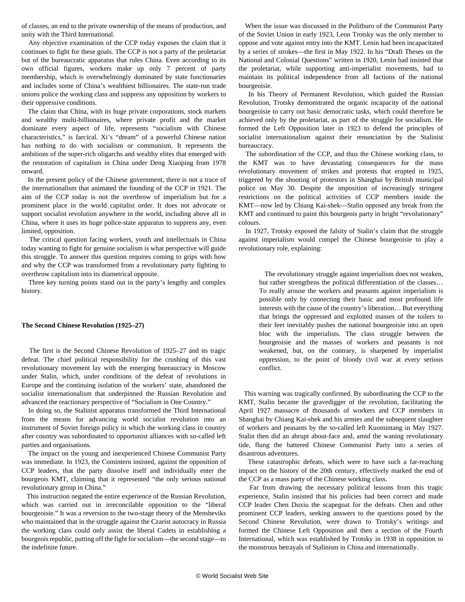of classes, an end to the private ownership of the means of production, and unity with the Third International.

 Any objective examination of the CCP today exposes the claim that it continues to fight for these goals. The CCP is not a party of the proletariat but of the bureaucratic apparatus that rules China. Even according to its own official figures, workers make up only 7 percent of party membership, which is overwhelmingly dominated by state functionaries and includes some of China's wealthiest billionaires. The state-run trade unions police the working class and suppress any opposition by workers to their oppressive conditions.

 The claim that China, with its huge private corporations, stock markets and wealthy multi-billionaires, where private profit and the market dominate every aspect of life, represents "socialism with Chinese characteristics," is farcical. Xi's "dream" of a powerful Chinese nation has nothing to do with socialism or communism. It represents the ambitions of the super-rich oligarchs and wealthy elites that emerged with the restoration of capitalism in China under Deng Xiaoping from 1978 onward.

 In the present policy of the Chinese government, there is not a trace of the internationalism that animated the founding of the CCP in 1921. The aim of the CCP today is not the overthrow of imperialism but for a prominent place in the world capitalist order. It does not advocate or support socialist revolution anywhere in the world, including above all in China, where it uses its huge police-state apparatus to suppress any, even limited, opposition.

 The critical question facing workers, youth and intellectuals in China today wanting to fight for genuine socialism is what perspective will guide this struggle. To answer this question requires coming to grips with how and why the CCP was transformed from a revolutionary party fighting to overthrow capitalism into its diametrical opposite.

 Three key turning points stand out in the party's lengthy and complex history.

## **The Second Chinese Revolution (1925–27)**

 The first is the Second Chinese Revolution of 1925–27 and its tragic defeat. The chief political responsibility for the crushing of this vast revolutionary movement lay with the emerging bureaucracy in Moscow under Stalin, which, under conditions of the defeat of revolutions in Europe and the continuing isolation of the workers' state, abandoned the socialist internationalism that underpinned the Russian Revolution and advanced the reactionary perspective of "Socialism in One Country."

 In doing so, the Stalinist apparatus transformed the Third International from the means for advancing world socialist revolution into an instrument of Soviet foreign policy in which the working class in country after country was subordinated to opportunist alliances with so-called left parties and organisations.

 The impact on the young and inexperienced Chinese Communist Party was immediate. In 1923, the Comintern insisted, against the opposition of CCP leaders, that the party dissolve itself and individually enter the bourgeois KMT, claiming that it represented "the only serious national revolutionary group in China."

 This instruction negated the entire experience of the Russian Revolution, which was carried out in irreconcilable opposition to the "liberal bourgeoisie." It was a reversion to the two-stage theory of the Mensheviks who maintained that in the struggle against the Czarist autocracy in Russia the working class could only assist the liberal Cadets in establishing a bourgeois republic, putting off the fight for socialism—the second stage—to the indefinite future.

 When the issue was discussed in the Politburo of the Communist Party of the Soviet Union in early 1923, Leon Trotsky was the only member to oppose and vote against entry into the KMT. Lenin had been incapacitated by a series of strokes—the first in May 1922. In his "Draft Theses on the National and Colonial Questions" written in 1920, Lenin had insisted that the proletariat, while supporting anti-imperialist movements, had to maintain its political independence from all factions of the national bourgeoisie.

 In his Theory of Permanent Revolution, which guided the Russian Revolution, Trotsky demonstrated the organic incapacity of the national bourgeoisie to carry out basic democratic tasks, which could therefore be achieved only by the proletariat, as part of the struggle for socialism. He formed the Left Opposition later in 1923 to defend the principles of socialist internationalism against their renunciation by the Stalinist bureaucracy.

 The subordination of the CCP, and thus the Chinese working class, to the KMT was to have devastating consequences for the mass revolutionary movement of strikes and protests that erupted in 1925, triggered by the shooting of protestors in Shanghai by British municipal police on May 30. Despite the imposition of increasingly stringent restrictions on the political activities of CCP members inside the KMT—now led by Chiang Kai-shek—Stalin opposed any break from the KMT and continued to paint this bourgeois party in bright "revolutionary" colours.

 In 1927, Trotsky exposed the falsity of Stalin's claim that the struggle against imperialism would compel the Chinese bourgeoisie to play a revolutionary role, explaining:

 The revolutionary struggle against imperialism does not weaken, but rather strengthens the political differentiation of the classes… To really arouse the workers and peasants against imperialism is possible only by connecting their basic and most profound life interests with the cause of the country's liberation… But everything that brings the oppressed and exploited masses of the toilers to their feet inevitably pushes the national bourgeoisie into an open bloc with the imperialists. The class struggle between the bourgeoisie and the masses of workers and peasants is not weakened, but, on the contrary, is sharpened by imperialist oppression, to the point of bloody civil war at every serious conflict.

 This warning was tragically confirmed. By subordinating the CCP to the KMT, Stalin became the gravedigger of the revolution, facilitating the April 1927 massacre of thousands of workers and CCP members in Shanghai by Chiang Kai-shek and his armies and the subsequent slaughter of workers and peasants by the so-called left Kuomintang in May 1927. Stalin then did an abrupt about-face and, amid the waning revolutionary tide, flung the battered Chinese Communist Party into a series of disastrous adventures.

 These catastrophic defeats, which were to have such a far-reaching impact on the history of the 20th century, effectively marked the end of the CCP as a mass party of the Chinese working class.

 Far from drawing the necessary political lessons from this tragic experience, Stalin insisted that his policies had been correct and made CCP leader Chen Duxiu the scapegoat for the defeats. Chen and other prominent CCP leaders, seeking answers to the questions posed by the Second Chinese Revolution, were drawn to Trotsky's writings and formed the Chinese Left Opposition and then a section of the Fourth International, which was established by Trotsky in 1938 in opposition to the monstrous betrayals of Stalinism in China and internationally.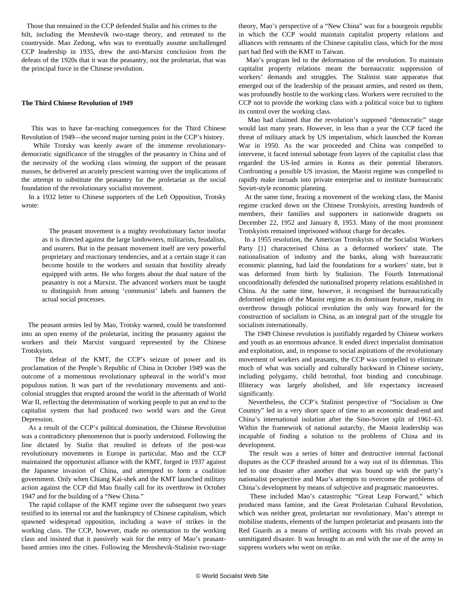Those that remained in the CCP defended Stalin and his crimes to the hilt, including the Menshevik two-stage theory, and retreated to the countryside. Mao Zedong, who was to eventually assume unchallenged CCP leadership in 1935, drew the anti-Marxist conclusion from the defeats of the 1920s that it was the peasantry, not the proletariat, that was the principal force in the Chinese revolution.

#### **The Third Chinese Revolution of 1949**

 This was to have far-reaching consequences for the Third Chinese Revolution of 1949—the second major turning point in the CCP's history.

 While Trotsky was keenly aware of the immense revolutionarydemocratic significance of the struggles of the peasantry in China and of the necessity of the working class winning the support of the peasant masses, he delivered an acutely prescient warning over the implications of the attempt to substitute the peasantry for the proletariat as the social foundation of the revolutionary socialist movement.

 In a 1932 letter to Chinese supporters of the Left Opposition, Trotsky wrote:

 The peasant movement is a mighty revolutionary factor insofar as it is directed against the large landowners, militarists, feudalists, and usurers. But in the peasant movement itself are very powerful proprietary and reactionary tendencies, and at a certain stage it can become hostile to the workers and sustain that hostility already equipped with arms. He who forgets about the dual nature of the peasantry is not a Marxist. The advanced workers must be taught to distinguish from among 'communist' labels and banners the actual social processes.

 The peasant armies led by Mao, Trotsky warned, could be transformed into an open enemy of the proletariat, inciting the peasantry against the workers and their Marxist vanguard represented by the Chinese Trotskyists.

 The defeat of the KMT, the CCP's seizure of power and its proclamation of the People's Republic of China in October 1949 was the outcome of a momentous revolutionary upheaval in the world's most populous nation. It was part of the revolutionary movements and anticolonial struggles that erupted around the world in the aftermath of World War II, reflecting the determination of working people to put an end to the capitalist system that had produced two world wars and the Great Depression.

 As a result of the CCP's political domination, the Chinese Revolution was a contradictory phenomenon that is poorly understood. Following the line dictated by Stalin that resulted in defeats of the post-war revolutionary movements in Europe in particular, Mao and the CCP maintained the opportunist alliance with the KMT, forged in 1937 against the Japanese invasion of China, and attempted to form a coalition government. Only when Chiang Kai-shek and the KMT launched military action against the CCP did Mao finally call for its overthrow in October 1947 and for the building of a "New China."

 The rapid collapse of the KMT regime over the subsequent two years testified to its internal rot and the bankruptcy of Chinese capitalism, which spawned widespread opposition, including a wave of strikes in the working class. The CCP, however, made no orientation to the working class and insisted that it passively wait for the entry of Mao's peasantbased armies into the cities. Following the Menshevik-Stalinist two-stage

theory, Mao's perspective of a "New China" was for a bourgeois republic in which the CCP would maintain capitalist property relations and alliances with remnants of the Chinese capitalist class, which for the most part had fled with the KMT to Taiwan.

 Mao's program led to the deformation of the revolution. To maintain capitalist property relations meant the bureaucratic suppression of workers' demands and struggles. The Stalinist state apparatus that emerged out of the leadership of the peasant armies, and rested on them, was profoundly hostile to the working class. Workers were recruited to the CCP not to provide the working class with a political voice but to tighten its control over the working class.

 Mao had claimed that the revolution's supposed "democratic" stage would last many years. However, in less than a year the CCP faced the threat of military attack by US imperialism, which launched the Korean War in 1950. As the war proceeded and China was compelled to intervene, it faced internal sabotage from layers of the capitalist class that regarded the US-led armies in Korea as their potential liberators. Confronting a possible US invasion, the Maoist regime was compelled to rapidly make inroads into private enterprise and to institute bureaucratic Soviet-style economic planning.

 At the same time, fearing a movement of the working class, the Maoist regime cracked down on the Chinese Trotskyists, arresting hundreds of members, their families and supporters in nationwide dragnets on December 22, 1952 and January 8, 1953. Many of the most prominent Trotskyists remained imprisoned without charge for decades.

 In a 1955 resolution, the American Trotskyists of the Socialist Workers Party [1] characterised China as a deformed workers' state. The nationalisation of industry and the banks, along with bureaucratic economic planning, had laid the foundations for a workers' state, but it was deformed from birth by Stalinism. The Fourth International unconditionally defended the nationalised property relations established in China. At the same time, however, it recognised the bureaucratically deformed origins of the Maoist regime as its dominant feature, making its overthrow through political revolution the only way forward for the construction of socialism in China, as an integral part of the struggle for socialism internationally.

 The 1949 Chinese revolution is justifiably regarded by Chinese workers and youth as an enormous advance. It ended direct imperialist domination and exploitation, and, in response to social aspirations of the revolutionary movement of workers and peasants, the CCP was compelled to eliminate much of what was socially and culturally backward in Chinese society, including polygamy, child betrothal, foot binding and concubinage. Illiteracy was largely abolished, and life expectancy increased significantly.

 Nevertheless, the CCP's Stalinist perspective of "Socialism in One Country" led in a very short space of time to an economic dead-end and China's international isolation after the Sino-Soviet split of 1961–63. Within the framework of national autarchy, the Maoist leadership was incapable of finding a solution to the problems of China and its development.

 The result was a series of bitter and destructive internal factional disputes as the CCP thrashed around for a way out of its dilemmas. This led to one disaster after another that was bound up with the party's nationalist perspective and Mao's attempts to overcome the problems of China's development by means of subjective and pragmatic manoeuvres.

 These included Mao's catastrophic "Great Leap Forward," which produced mass famine, and the Great Proletarian Cultural Revolution, which was neither great, proletarian nor revolutionary. Mao's attempt to mobilise students, elements of the lumpen proletariat and peasants into the Red Guards as a means of settling accounts with his rivals proved an unmitigated disaster. It was brought to an end with the use of the army to suppress workers who went on strike.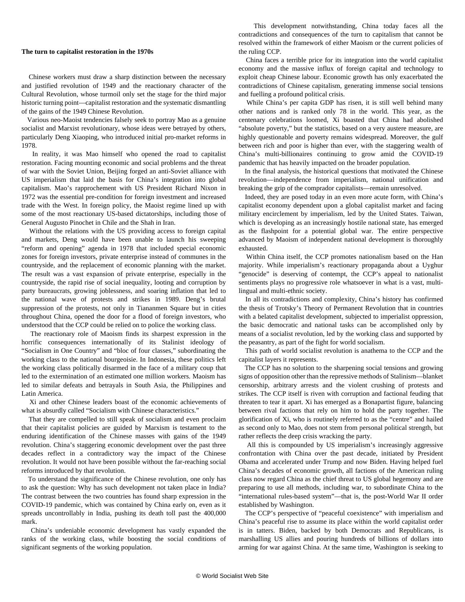### **The turn to capitalist restoration in the 1970s**

 Chinese workers must draw a sharp distinction between the necessary and justified revolution of 1949 and the reactionary character of the Cultural Revolution, whose turmoil only set the stage for the third major historic turning point—capitalist restoration and the systematic dismantling of the gains of the 1949 Chinese Revolution.

 Various neo-Maoist tendencies falsely seek to portray Mao as a genuine socialist and Marxist revolutionary, whose ideas were betrayed by others, particularly Deng Xiaoping, who introduced initial pro-market reforms in 1978.

 In reality, it was Mao himself who opened the road to capitalist restoration. Facing mounting economic and social problems and the threat of war with the Soviet Union, Beijing forged an anti-Soviet alliance with US imperialism that laid the basis for China's integration into global capitalism. Mao's rapprochement with US President Richard Nixon in 1972 was the essential pre-condition for foreign investment and increased trade with the West. In foreign policy, the Maoist regime lined up with some of the most reactionary US-based dictatorships, including those of General Augusto Pinochet in Chile and the Shah in Iran.

 Without the relations with the US providing access to foreign capital and markets, Deng would have been unable to launch his sweeping "reform and opening" agenda in 1978 that included special economic zones for foreign investors, private enterprise instead of communes in the countryside, and the replacement of economic planning with the market. The result was a vast expansion of private enterprise, especially in the countryside, the rapid rise of social inequality, looting and corruption by party bureaucrats, growing joblessness, and soaring inflation that led to the national wave of protests and strikes in 1989. Deng's brutal suppression of the protests, not only in Tiananmen Square but in cities throughout China, opened the door for a flood of foreign investors, who understood that the CCP could be relied on to police the working class.

 The reactionary role of Maoism finds its sharpest expression in the horrific consequences internationally of its Stalinist ideology of "Socialism in One Country" and "bloc of four classes," subordinating the working class to the national bourgeoisie. In Indonesia, these politics left the working class politically disarmed in the face of a military coup that led to the extermination of an estimated one million workers. Maoism has led to similar defeats and betrayals in South Asia, the Philippines and Latin America.

 Xi and other Chinese leaders boast of the economic achievements of what is absurdly called "Socialism with Chinese characteristics."

 That they are compelled to still speak of socialism and even proclaim that their capitalist policies are guided by Marxism is testament to the enduring identification of the Chinese masses with gains of the 1949 revolution. China's staggering economic development over the past three decades reflect in a contradictory way the impact of the Chinese revolution. It would not have been possible without the far-reaching social reforms introduced by that revolution.

 To understand the significance of the Chinese revolution, one only has to ask the question: Why has such development not taken place in India? The contrast between the two countries has found sharp expression in the COVID-19 pandemic, which was contained by China early on, even as it spreads uncontrollably in India, pushing its death toll past the 400,000 mark.

 China's undeniable economic development has vastly expanded the ranks of the working class, while boosting the social conditions of significant segments of the working population.

 This development notwithstanding, China today faces all the contradictions and consequences of the turn to capitalism that cannot be resolved within the framework of either Maoism or the current policies of the ruling CCP.

 China faces a terrible price for its integration into the world capitalist economy and the massive influx of foreign capital and technology to exploit cheap Chinese labour. Economic growth has only exacerbated the contradictions of Chinese capitalism, generating immense social tensions and fuelling a profound political crisis.

 While China's per capita GDP has risen, it is still well behind many other nations and is ranked only 78 in the world. This year, as the centenary celebrations loomed, Xi boasted that China had abolished "absolute poverty," but the statistics, based on a very austere measure, are highly questionable and poverty remains widespread. Moreover, the gulf between rich and poor is higher than ever, with the staggering wealth of China's multi-billionaires continuing to grow amid the COVID-19 pandemic that has heavily impacted on the broader population.

 In the final analysis, the historical questions that motivated the Chinese revolution—independence from imperialism, national unification and breaking the grip of the comprador capitalists—remain unresolved.

 Indeed, they are posed today in an even more acute form, with China's capitalist economy dependent upon a global capitalist market and facing military encirclement by imperialism, led by the United States. Taiwan, which is developing as an increasingly hostile national state, has emerged as the flashpoint for a potential global war. The entire perspective advanced by Maoism of independent national development is thoroughly exhausted.

 Within China itself, the CCP promotes nationalism based on the Han majority. While imperialism's reactionary propaganda about a Uyghur "genocide" is deserving of contempt, the CCP's appeal to nationalist sentiments plays no progressive role whatsoever in what is a vast, multilingual and multi-ethnic society.

 In all its contradictions and complexity, China's history has confirmed the thesis of Trotsky's Theory of Permanent Revolution that in countries with a belated capitalist development, subjected to imperialist oppression, the basic democratic and national tasks can be accomplished only by means of a socialist revolution, led by the working class and supported by the peasantry, as part of the fight for world socialism.

 This path of world socialist revolution is anathema to the CCP and the capitalist layers it represents.

 The CCP has no solution to the sharpening social tensions and growing signs of opposition other than the repressive methods of Stalinism—blanket censorship, arbitrary arrests and the violent crushing of protests and strikes. The CCP itself is riven with corruption and factional feuding that threaten to tear it apart. Xi has emerged as a Bonapartist figure, balancing between rival factions that rely on him to hold the party together. The glorification of Xi, who is routinely referred to as the "centre" and hailed as second only to Mao, does not stem from personal political strength, but rather reflects the deep crisis wracking the party.

 All this is compounded by US imperialism's increasingly aggressive confrontation with China over the past decade, initiated by President Obama and accelerated under Trump and now Biden. Having helped fuel China's decades of economic growth, all factions of the American ruling class now regard China as the chief threat to US global hegemony and are preparing to use all methods, including war, to subordinate China to the "international rules-based system"—that is, the post-World War II order established by Washington.

 The CCP's perspective of "peaceful coexistence" with imperialism and China's peaceful rise to assume its place within the world capitalist order is in tatters. Biden, backed by both Democrats and Republicans, is marshalling US allies and pouring hundreds of billions of dollars into arming for war against China. At the same time, Washington is seeking to